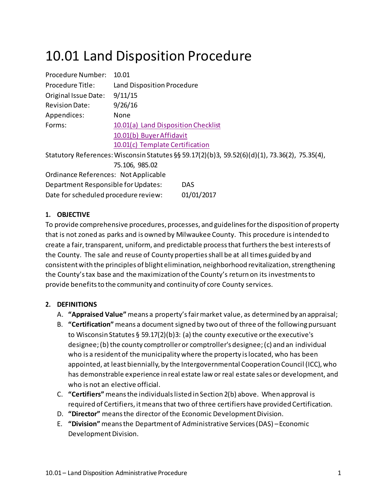# 10.01 Land Disposition Procedure

| Procedure Number:                    | 10.01                                                                                         |
|--------------------------------------|-----------------------------------------------------------------------------------------------|
| Procedure Title:                     | Land Disposition Procedure                                                                    |
| Original Issue Date:                 | 9/11/15                                                                                       |
| <b>Revision Date:</b>                | 9/26/16                                                                                       |
| Appendices:                          | None                                                                                          |
| Forms:                               | 10.01(a) Land Disposition Checklist                                                           |
|                                      | 10.01(b) Buyer Affidavit                                                                      |
|                                      | 10.01(c) Template Certification                                                               |
|                                      | Statutory References: Wisconsin Statutes §§ 59.17(2)(b)3, 59.52(6)(d)(1), 73.36(2), 75.35(4), |
|                                      | 75.106, 985.02                                                                                |
| Ordinance References: Not Applicable |                                                                                               |
| Department Responsible for Updates:  | <b>DAS</b>                                                                                    |
| Date for scheduled procedure review: | 01/01/2017                                                                                    |

## **1. OBJECTIVE**

To provide comprehensive procedures, processes, and guidelinesforthe disposition of property that is not zoned as parks and is owned by Milwaukee County. This procedure isintended to create a fair, transparent, uniform, and predictable process that furthers the best interests of the County. The sale and reuse of County propertiesshall be at all times guided by and consistent with the principles of blight elimination, neighborhood revitalization, strengthening the County'stax base and the maximization of the County's return on its investmentsto provide benefits to the community and continuity of core County services.

## **2. DEFINITIONS**

- A. **"Appraised Value"** means a property'sfairmarket value, as determined by an appraisal;
- B. **"Certification"** means a document signed by two out of three of the followingpursuant to Wisconsin Statutes § 59.17(2)(b)3: (a) the county executive or the executive's designee; (b) the county comptroller or comptroller's designee; (c) and an individual who is a resident of the municipality where the property is located, who has been appointed, at least biennially, by the Intergovernmental Cooperation Council (ICC), who has demonstrable experience in real estate law or real estate sales or development, and who is not an elective official.
- C. **"Certifiers"** meansthe individualslisted in Section 2(b) above. When approval is required of Certifiers, itmeansthat two ofthree certifiers have provided Certification.
- D. **"Director"** means the director of the Economic Development Division.
- E. **"Division"** meansthe Departmentof Administrative Services(DAS) –Economic Development Division.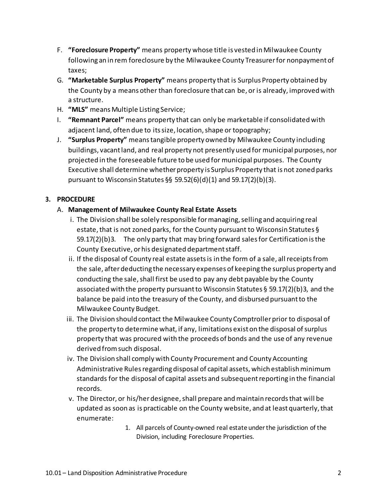- F. **"Foreclosure Property"** means property whose title is vested in Milwaukee County following an in rem foreclosure by the Milwaukee County Treasurerfor nonpaymentof taxes;
- G. **"Marketable Surplus Property"** means property that is Surplus Property obtained by the County by a means other than foreclosure that can be, or is already, improvedwith a structure.
- H. **"MLS"** meansMultiple Listing Service;
- I. **"Remnant Parcel"** means property that can only be marketable if consolidated with adjacent land, often due to its size, location, shape or topography;
- J. **"Surplus Property"** meanstangible property owned by Milwaukee County including buildings, vacant land, and real property not presently used for municipal purposes, nor projected in the foreseeable future to be used for municipal purposes. The County Executive shall determine whether property is Surplus Property that is not zoned parks pursuant to Wisconsin Statutes §§ 59.52(6)(d)(1) and 59.17(2)(b)(3).

# **3. PROCEDURE**

## A. **Management of Milwaukee County Real Estate Assets**

- i. The Division shall be solely responsible for managing, selling and acquiring real estate, that is not zoned parks, for the County pursuant to Wisconsin Statutes § 59.17(2)(b)3. The only party that may bring forward salesfor Certification isthe County Executive, orhis designated departmentstaff.
- ii. If the disposal of County real estate assetsis in the form of a sale, allreceiptsfrom the sale, afterdeducting the necessary expenses of keeping the surplus property and conducting the sale, shall first be used to pay any debt payable by the County associated with the property pursuant to Wisconsin Statutes § 59.17(2)(b)3, and the balance be paid into the treasury of the County, and disbursed pursuantto the Milwaukee County Budget.
- iii. The Division should contact the Milwaukee County Comptrollerprior to disposal of the property to determine what, if any, limitations exist on the disposal of surplus property that was procured with the proceeds of bonds and the use of any revenue derived fromsuch disposal.
- iv. The Division shall comply with County Procurement and County Accounting Administrative Rules regarding disposal of capital assets, which establish minimum standards for the disposal of capital assets and subsequentreporting in the financial records.
- v. The Director, or his/herdesignee,shall prepare andmaintain recordsthat will be updated as soon as is practicable on the County website, and at least quarterly, that enumerate:
	- 1. All parcels of County-owned real estate under the jurisdiction of the Division, including Foreclosure Properties.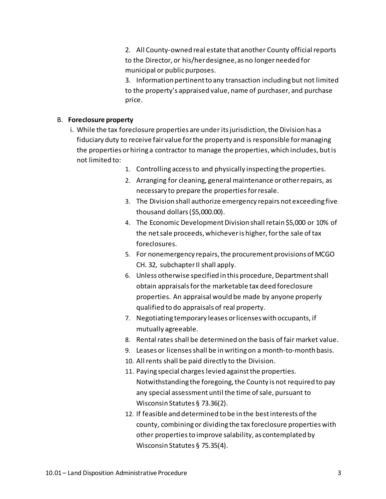2. All County-owned real estate that another County official reports to the Director, or his/herdesignee,as no longerneeded for municipal or publicpurposes.

3. Information pertinentto any transaction includingbut not limited to the property's appraised value, name of purchaser, and purchase price.

#### B. **Foreclosure property**

- i. While the tax foreclosure properties are under itsjurisdiction,the Division has a fiduciary duty to receive fair value forthe property and is responsible formanaging the properties orhiring a contractor to manage the properties, which includes, butis not limited to:
	- 1. Controlling accessto and physically inspecting the properties.
	- 2. Arranging for cleaning, general maintenance orotherrepairs, as necessary to prepare the propertiesforresale.
	- 3. The Division shall authorize emergency repairs not exceeding five thousand dollars(\$5,000.00).
	- 4. The Economic Development Division shall retain \$5,000 or 10% of the netsale proceeds, whicheveris higher, forthe sale oftax foreclosures.
	- 5. For nonemergency repairs, the procurement provisions of MCGO CH. 32, subchapter II shall apply.
	- 6. Unless otherwise specified in this procedure, Departmentshall obtain appraisalsforthe marketable tax deed foreclosure properties. An appraisal would be made by anyone properly qualified to do appraisals of real property.
	- 7. Negotiating temporary leases orlicenses with occupants, if mutually agreeable.
	- 8. Rental rates shall be determined on the basis of fair market value.
	- 9. Leases or licensesshall be in writingon a month-to-month basis.
	- 10. All rents shall be paid directly to the Division.
	- 11. Paying special charges levied against the properties. Notwithstanding the foregoing, the County is not required to pay any special assessment until the time of sale, pursuant to Wisconsin Statutes § 73.36(2).
	- 12. If feasible and determined to be in the bestinterests ofthe county, combiningor dividing the tax foreclosure properties with other propertiesto improve salability, as contemplated by Wisconsin Statutes § 75.35(4).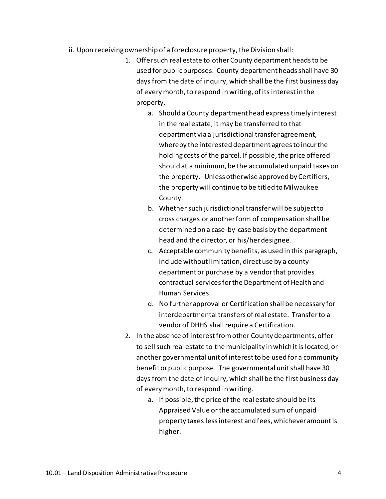- ii. Upon receiving ownership of a foreclosure property, the Division shall:
	- 1. Offersuch real estate to otherCounty department headsto be used for publicpurposes. County departmentheadsshall have 30 days from the date of inquiry, which shall be the first business day of everymonth,to respond in writing, of its interestin the property.
		- a. Should a County department head expresstimely interest in the real estate, it may be transferred to that department via a jurisdictional transfer agreement, whereby the interested department agreesto incurthe holding costs of the parcel. If possible, the price offered should at a minimum, be the accumulated unpaid taxes on the property. Unless otherwise approved by Certifiers, the property will continue to be titled to Milwaukee County.
		- b. Whether such jurisdictional transfer will be subject to cross charges or anotherform of compensation shall be determined on a case-by-case basis by the department head and the director, or his/herdesignee.
		- c. Acceptable community benefits, as used in this paragraph, include without limitation, direct use by a county departmentor purchase by a vendorthat provides contractual servicesforthe Department of Health and Human Services.
		- d. No further approval or Certification shall be necessary for interdepartmental transfers of real estate. Transfer to a vendor of DHHS shall require a Certification.
	- 2. In the absence of interestfromother County departments, offer to sellsuch real estate to the municipality in which itis located, or another governmental unitof interestto be used for a community benefit or public purpose. The governmental unit shall have 30 days from the date of inquiry, which shall be the first business day of every month, to respond in writing.
		- a. If possible, the price of the real estate should be its Appraised Value or the accumulated sum of unpaid property taxes lessinterest and fees, whicheveramountis higher.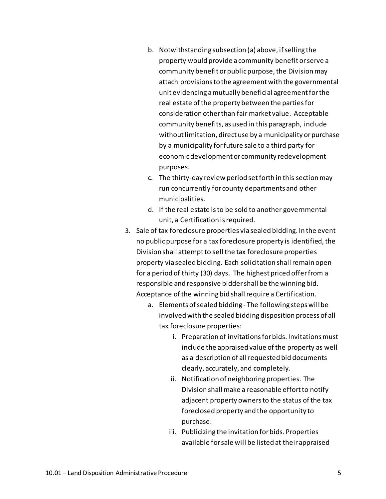- b. Notwithstanding subsection (a) above, if selling the property would provide a community benefit orserve a community benefit or public purpose, the Division may attach provisionsto the agreementwith the governmental unit evidencing amutually beneficial agreementforthe real estate of the property between the parties for consideration otherthan fair market value. Acceptable community benefits, as used in this paragraph, include without limitation, direct use by a municipality or purchase by a municipality forfuture sale to a third party for economicdevelopmentor community redevelopment purposes.
- c. The thirty-day review period setforth in this sectionmay run concurrently for county departments and other municipalities.
- d. If the real estate isto be sold to another governmental unit, a Certification isrequired.
- 3. Sale of tax foreclosure properties via sealed bidding. In the event no public purpose for a tax foreclosure property is identified, the Division shall attemptto sell the tax foreclosure properties property via sealed bidding. Each solicitation shallremain open for a period of thirty (30) days. The highest priced offerfrom a responsible and responsive biddershall be the winningbid. Acceptance of the winning bid shall require a Certification.
	- a. Elements of sealed bidding The following stepswillbe involved with the sealed bidding disposition process of all tax foreclosure properties:
		- i. Preparation of invitations for bids. Invitations must include the appraised value of the property as well as a description of all requested bid documents clearly, accurately, and completely.
		- ii. Notification of neighboringproperties. The Division shall make a reasonable effort to notify adjacent property owners to the status of the tax foreclosed property and the opportunity to purchase.
		- iii. Publicizing the invitation for bids. Properties available forsale will be listed at their appraised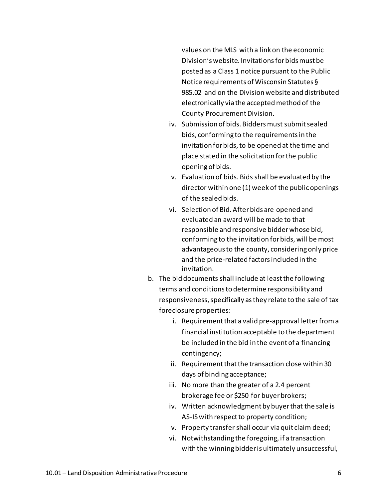values on the MLS with a link on the economic Division's website. Invitationsforbidsmust be posted as a Class 1 notice pursuant to the Public Notice requirements of Wisconsin Statutes § 985.02 and on the Division website and distributed electronically via the acceptedmethod of the County Procurement Division.

- iv. Submission of bids. Bidders must submit sealed bids, conforming to the requirementsin the invitation for bids, to be opened at the time and place stated in the solicitation forthe public openingof bids.
- v. Evaluation of bids. Bids shall be evaluated by the director within one (1) week of the publicopenings of the sealed bids.
- vi. Selection of Bid. Afterbids are opened and evaluated an award will be made to that responsible and responsive bidderwhose bid, conforming to the invitation forbids, will be most advantageous to the county, considering only price and the price-related factorsincluded in the invitation.
- b. The bid documents shall include at least the following terms and conditionsto determine responsibility and responsiveness, specifically as they relate to the sale of tax foreclosure properties:
	- i. Requirement that a valid pre-approval letter from a financial institution acceptable to the department be included in the bid in the event of a financing contingency;
	- ii. Requirement that the transaction close within 30 days of binding acceptance;
	- iii. No more than the greater of a 2.4 percent brokerage fee or \$250 for buyerbrokers;
	- iv. Written acknowledgment by buyerthat the sale is AS-IS with respect to property condition;
	- v. Property transfershall occur viaquit claim deed;
	- vi. Notwithstanding the foregoing, if a transaction with the winningbidderis ultimately unsuccessful,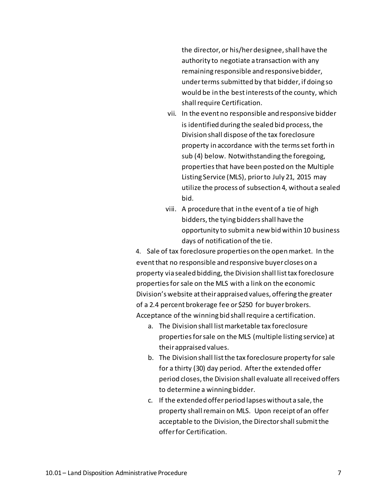the director, or his/herdesignee,shall have the authority to negotiate a transaction with any remaining responsible and responsivebidder, underterms submitted by that bidder, if doing so would be in the best interests of the county, which shallrequire Certification.

- vii. In the event no responsible and responsive bidder is identified during the sealed bid process, the Division shall dispose of the tax foreclosure property in accordance with the termsset forth in sub (4) below. Notwithstanding the foregoing, propertiesthat have been posted on the Multiple Listing Service (MLS), priorto July 21, 2015 may utilize the process of subsection 4, without a sealed bid.
- viii. A procedure that in the event of a tie of high bidders,the tyingbiddersshall have the opportunity to submit a new bid within 10 business days of notification of the tie.

4. Sale of tax foreclosure properties on the openmarket. In the eventthat no responsible and responsive buyer closes on a property via sealed bidding, the Division shall list tax foreclosure propertiesforsale on the MLS with a link on the economic Division's website attheirappraised values, offering the greater of a 2.4 percent brokerage fee or \$250 for buyer brokers. Acceptance of the winning bid shall require a certification.

- a. The Division shall listmarketable tax foreclosure propertiesforsale on the MLS (multiple listing service) at theirappraised values.
- b. The Division shall list the tax foreclosure property for sale for a thirty (30) day period. Afterthe extended offer period closes, the Division shall evaluate all received offers to determine a winningbidder.
- c. If the extended offer period lapses without a sale, the property shall remain on MLS. Upon receipt of an offer acceptable to the Division, the Director shall submit the offerfor Certification.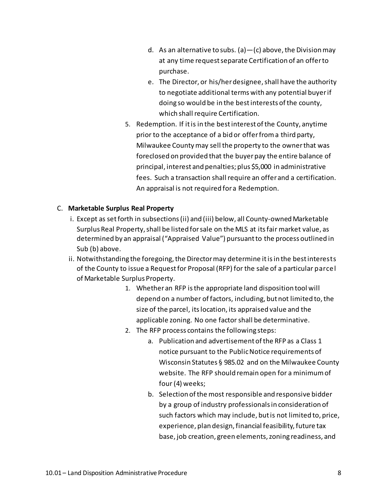- d. As an alternative to subs. (a)  $-$  (c) above, the Division may at any time request separate Certification of an offerto purchase.
- e. The Director, or his/herdesignee,shall have the authority to negotiate additional terms with any potential buyerif doing so would be in the bestinterests of the county, which shall require Certification.
- 5. Redemption. If itis in the best interestofthe County, anytime prior to the acceptance of a bid or offerfroma third party, Milwaukee Countymay sell the property to the ownerthat was foreclosed on provided that the buyerpay the entire balance of principal, interest and penalties; plus \$5,000 in administrative fees. Such a transaction shall require an offer and a certification. An appraisal is not required fora Redemption.

# C. **Marketable Surplus Real Property**

- i. Except as setforth in subsections(ii) and (iii) below, all County-ownedMarketable Surplus Real Property,shall be listed forsale on the MLS at itsfair market value, as determined by an appraisal ("Appraised Value") pursuantto the process outlined in Sub (b) above.
- ii. Notwithstanding the foregoing, the Director may determine it is in the best interests of the County to issue a Requestfor Proposal (RFP) for the sale of a particular parcel of Marketable Surplus Property.
	- 1. Whether an RFP isthe appropriate land disposition tool will depend on a number of factors, including, but not limited to, the size of the parcel, itslocation, its appraised value and the applicable zoning. No one factor shall be determinative.
	- 2. The RFP process contains the following steps:
		- a. Publication and advertisement ofthe RFP as a Class 1 notice pursuant to the PublicNotice requirements of Wisconsin Statutes § 985.02 and on the Milwaukee County website. The RFP should remain open for a minimum of four (4) weeks;
		- b. Selection of the most responsible and responsive bidder by a group of industry professionalsin consideration of such factors which may include, butis not limited to, price, experience, plan design, financial feasibility, future tax base, job creation, green elements,zoning readiness, and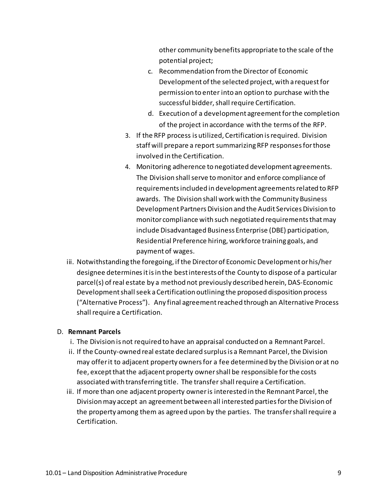other community benefits appropriate to the scale ofthe potential project;

- c. Recommendation fromthe Director of Economic Development of the selected project, with a request for permission to enter into an option to purchase with the successful bidder, shall require Certification.
- d. Execution of a development agreementforthe completion of the project in accordance with the terms of the RFP.
- 3. If the RFP process is utilized, Certification isrequired. Division staff will prepare a report summarizingRFP responsesforthose involved in the Certification.
- 4. Monitoring adherence to negotiated development agreements. The Division shall serve to monitor and enforce compliance of requirementsincluded in development agreementsrelated to RFP awards. The Division shall work with the Community Business Development Partners Division and the Audit Services Division to monitor compliance with such negotiated requirements that may include Disadvantaged Business Enterprise (DBE) participation, Residential Preference hiring, workforce training goals, and payment of wages.
- iii. Notwithstanding the foregoing, ifthe Directorof Economic Developmentorhis/her designee determinesitisin the best interests ofthe County to dispose of a particular parcel(s) of real estate by a method not previously described herein, DAS-Economic Development shall seek a Certification outlining the proposed disposition process ("Alternative Process"). Any final agreementreached through an Alternative Process shall require a Certification.

## D. **Remnant Parcels**

- i. The Division is not required to have an appraisal conducted on a Remnant Parcel.
- ii. If the County-owned real estate declared surplus is a Remnant Parcel, the Division may offerit to adjacent property ownersfor a fee determined by the Division or at no fee, except that the adjacent property owner shall be responsible for the costs associated with transferring title. The transfershallrequire a Certification.
- iii. If more than one adjacent property owner is interested in the Remnant Parcel, the Divisionmay accept an agreementbetween all interested partiesforthe Division of the property among them as agreed upon by the parties. The transfer shall require a Certification.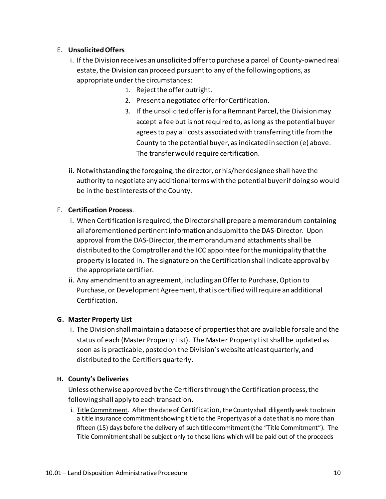# E. **UnsolicitedOffers**

- i. If the Division receives an unsolicited offerto purchase a parcel of County-owned real estate, the Division can proceed pursuant to any of the following options, as appropriate under the circumstances:
	- 1. Reject the offer outright.
	- 2. Present a negotiated offerforCertification.
	- 3. If the unsolicited offer is for a Remnant Parcel, the Division may accept a fee but is not required to, as long as the potential buyer agreesto pay all costs associated with transferring title fromthe County to the potential buyer, as indicated in section (e) above. The transferwould require certification.
- ii. Notwithstanding the foregoing, the director, or his/her designee shall have the authority to negotiate any additional terms with the potential buyerif doing so would be in the best interests of the County.

# F. **Certification Process**.

- i. When Certification is required, the Director shall prepare a memorandum containing all aforementioned pertinentinformation and submitto the DAS-Director. Upon approval from the DAS-Director, the memorandum and attachments shall be distributed to the Comptroller and the ICC appointee forthe municipality thatthe property islocated in. The signature on the Certification shall indicate approval by the appropriate certifier.
- ii. Any amendment to an agreement, including an Offer to Purchase, Option to Purchase, or Development Agreement, that is certified will require an additional Certification.

## **G. Master Property List**

i. The Division shall maintain a database of propertiesthat are available for sale and the status of each (Master Property List). The Master Property List shall be updated as soon as is practicable, posted on the Division'swebsite atleast quarterly, and distributed to the Certifiers quarterly.

## **H. County's Deliveries**

Unless otherwise approved by the Certifiers through the Certification process, the following shall apply to each transaction.

i. Title Commitment. After the date of Certification, the County shall diligently seek toobtain a title insurance commitment showing title to the Property as of a date that is no more than fifteen (15) days before the delivery of such title commitment (the "Title Commitment"). The Title Commitment shall be subject only to those liens which will be paid out of the proceeds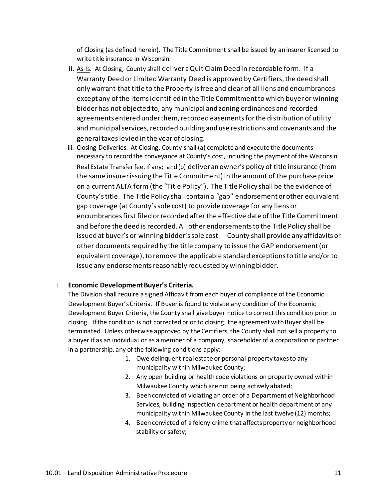of Closing (as defined herein). The Title Commitment shall be issued by aninsurer licensed to write title insurance in Wisconsin.

- ii. As-Is. At Closing, County shall deliver a Quit Claim Deed in recordable form. If a Warranty Deed or Limited Warranty Deed is approved by Certifiers, the deed shall only warrant that title to the Property isfree and clear of all liens and encumbrances except any ofthe itemsidentified in the Title Commitmenttowhich buyeror winning bidderhas not objected to, any municipal and zoning ordinances and recorded agreements entered under them, recorded easements for the distribution of utility and municipal services, recorded building and use restrictions and covenants and the general taxeslevied in the year of closing.
- iii. Closing Deliveries. At Closing, County shall (a) complete and execute the documents necessary to recordthe conveyance at County's cost, including the payment of the Wisconsin Real Estate Transferfee, if any; and(b) deliveran owner's policy of title insurance (from the same insurerissuing the Title Commitment) in the amount of the purchase price on a current ALTA form (the "Title Policy"). The Title Policy shall be the evidence of County'stitle. The Title Policy shall contain a "gap" endorsementorother equivalent gap coverage (at County'ssole cost) to provide coverage for any liens or encumbrancesfirst filed orrecorded after the effective date ofthe Title Commitment and before the deed is recorded. All otherendorsementsto the Title Policy shall be issued at buyer's or winning bidder'ssole cost. County shall provide any affidavits or other documents required by the title company to issue the GAP endorsement (or equivalent coverage), to remove the applicable standard exceptions to title and/or to issue any endorsements reasonably requested by winning bidder.

#### I. **Economic DevelopmentBuyer's Criteria.**

The Division shall require a signed Affidavit from each buyer of compliance of the Economic Development Buyer'sCriteria. If Buyer is found to violate any condition of the Economic Development Buyer Criteria, the County shall give buyer notice to correct this condition prior to closing. If the condition is not corrected prior to closing, the agreement with Buyer shall be terminated. Unless otherwise approved by the Certifiers, the County shall not sell a property to a buyer if as an individual or as a member of a company, shareholder of a corporationor partner in a partnership, any of the following conditions apply:

- 1. Owe delinquent real estate or personal property taxesto any municipality within Milwaukee County;
- 2. Any open building or health code violations on property owned within Milwaukee County which are not being activelyabated;
- 3. Been convicted of violating an order of a Department of Neighborhood Services, building inspection department or health department of any municipality within Milwaukee County in the last twelve (12) months;
- 4. Beenconvicted of a felony crime that affects propertyor neighborhood stability or safety;